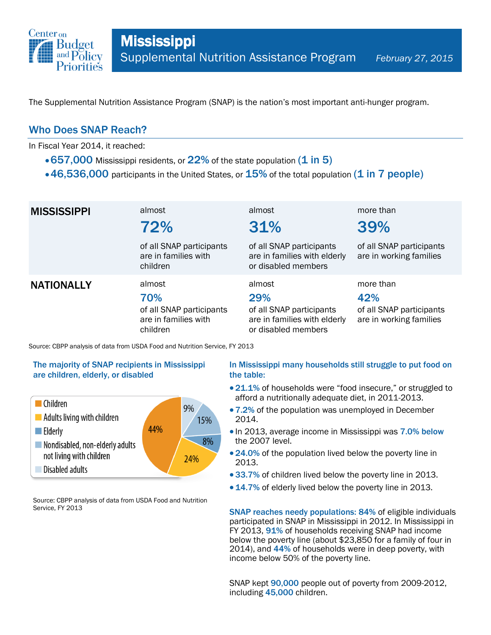

The Supplemental Nutrition Assistance Program (SNAP) is the nation's most important anti-hunger program.

## Who Does SNAP Reach?

In Fiscal Year 2014, it reached:

- $\cdot$  657,000 Mississippi residents, or 22% of the state population (1 in 5)
- $\cdot$  46,536,000 participants in the United States, or  $15\%$  of the total population (1 in 7 people)

| <b>MISSISSIPPI</b> | almost<br>72%                                                                 | almost<br>31%                                                                                    | more than<br>39%                                                        |
|--------------------|-------------------------------------------------------------------------------|--------------------------------------------------------------------------------------------------|-------------------------------------------------------------------------|
|                    | of all SNAP participants<br>are in families with<br>children                  | of all SNAP participants<br>are in families with elderly<br>or disabled members                  | of all SNAP participants<br>are in working families                     |
| <b>NATIONALLY</b>  | almost<br>70%<br>of all SNAP participants<br>are in families with<br>children | almost<br>29%<br>of all SNAP participants<br>are in families with elderly<br>or disabled members | more than<br>42%<br>of all SNAP participants<br>are in working families |

Source: CBPP analysis of data from USDA Food and Nutrition Service, FY 2013

### The majority of SNAP recipients in Mississippi are children, elderly, or disabled



Source: CBPP analysis of data from USDA Food and Nutrition Service, FY 2013

### In Mississippi many households still struggle to put food on the table:

- 21.1% of households were "food insecure," or struggled to afford a nutritionally adequate diet, in 2011-2013.
- 7.2% of the population was unemployed in December 2014.
- In 2013, average income in Mississippi was 7.0% below the 2007 level.
- 24.0% of the population lived below the poverty line in 2013.
- 33.7% of children lived below the poverty line in 2013.
- 14.7% of elderly lived below the poverty line in 2013.

SNAP reaches needy populations: 84% of eligible individuals participated in SNAP in Mississippi in 2012. In Mississippi in FY 2013, 91% of households receiving SNAP had income below the poverty line (about \$23,850 for a family of four in 2014), and 44% of households were in deep poverty, with income below 50% of the poverty line.

SNAP kept 90,000 people out of poverty from 2009-2012, including 45,000 children.